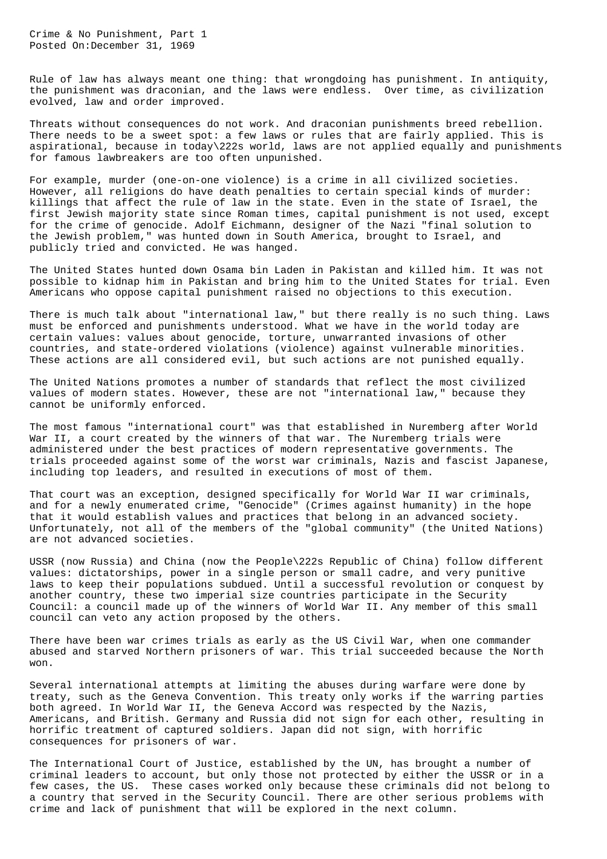Crime & No Punishment, Part 1 Posted On:December 31, 1969

Rule of law has always meant one thing: that wrongdoing has punishment. In antiquity, the punishment was draconian, and the laws were endless. Over time, as civilization evolved, law and order improved.

Threats without consequences do not work. And draconian punishments breed rebellion. There needs to be a sweet spot: a few laws or rules that are fairly applied. This is aspirational, because in today\222s world, laws are not applied equally and punishments for famous lawbreakers are too often unpunished.

For example, murder (one-on-one violence) is a crime in all civilized societies. However, all religions do have death penalties to certain special kinds of murder: killings that affect the rule of law in the state. Even in the state of Israel, the first Jewish majority state since Roman times, capital punishment is not used, except for the crime of genocide. Adolf Eichmann, designer of the Nazi "final solution to the Jewish problem," was hunted down in South America, brought to Israel, and publicly tried and convicted. He was hanged.

The United States hunted down Osama bin Laden in Pakistan and killed him. It was not possible to kidnap him in Pakistan and bring him to the United States for trial. Even Americans who oppose capital punishment raised no objections to this execution.

There is much talk about "international law," but there really is no such thing. Laws must be enforced and punishments understood. What we have in the world today are certain values: values about genocide, torture, unwarranted invasions of other countries, and state-ordered violations (violence) against vulnerable minorities. These actions are all considered evil, but such actions are not punished equally.

The United Nations promotes a number of standards that reflect the most civilized values of modern states. However, these are not "international law," because they cannot be uniformly enforced.

The most famous "international court" was that established in Nuremberg after World War II, a court created by the winners of that war. The Nuremberg trials were administered under the best practices of modern representative governments. The trials proceeded against some of the worst war criminals, Nazis and fascist Japanese, including top leaders, and resulted in executions of most of them.

That court was an exception, designed specifically for World War II war criminals, and for a newly enumerated crime, "Genocide" (Crimes against humanity) in the hope that it would establish values and practices that belong in an advanced society. Unfortunately, not all of the members of the "global community" (the United Nations) are not advanced societies.

USSR (now Russia) and China (now the People\222s Republic of China) follow different values: dictatorships, power in a single person or small cadre, and very punitive laws to keep their populations subdued. Until a successful revolution or conquest by another country, these two imperial size countries participate in the Security Council: a council made up of the winners of World War II. Any member of this small council can veto any action proposed by the others.

There have been war crimes trials as early as the US Civil War, when one commander abused and starved Northern prisoners of war. This trial succeeded because the North won.

Several international attempts at limiting the abuses during warfare were done by treaty, such as the Geneva Convention. This treaty only works if the warring parties both agreed. In World War II, the Geneva Accord was respected by the Nazis, Americans, and British. Germany and Russia did not sign for each other, resulting in horrific treatment of captured soldiers. Japan did not sign, with horrific consequences for prisoners of war.

The International Court of Justice, established by the UN, has brought a number of criminal leaders to account, but only those not protected by either the USSR or in a few cases, the US. These cases worked only because these criminals did not belong to a country that served in the Security Council. There are other serious problems with crime and lack of punishment that will be explored in the next column.